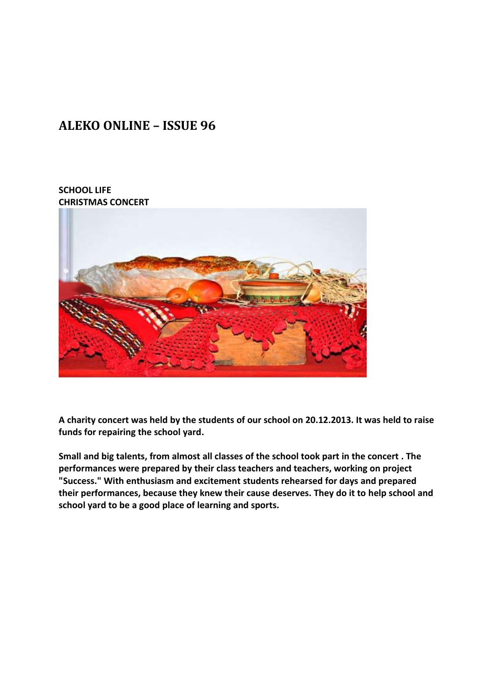## **ALEKO ONLINE – ISSUE 96**

## **SCHOOL LIFE CHRISTMAS CONCERT**



**A charity concert was held by the students of our school on 20.12.2013. It was held to raise funds for repairing the school yard.**

**Small and big talents, from almost all classes of the school took part in the concert . The performances were prepared by their class teachers and teachers, working on project "Success." With enthusiasm and excitement students rehearsed for days and prepared their performances, because they knew their cause deserves. They do it to help school and school yard to be a good place of learning and sports.**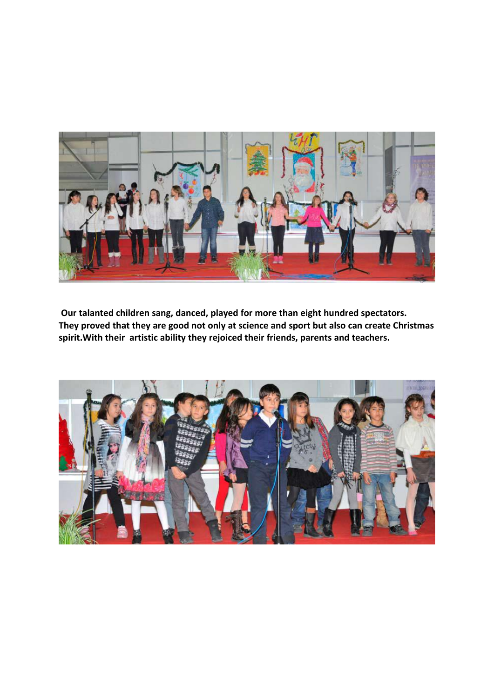

**Our talanted children sang, danced, played for more than eight hundred spectators. They proved that they are good not only at science and sport but also can create Christmas spirit.With their artistic ability they rejoiced their friends, parents and teachers.**

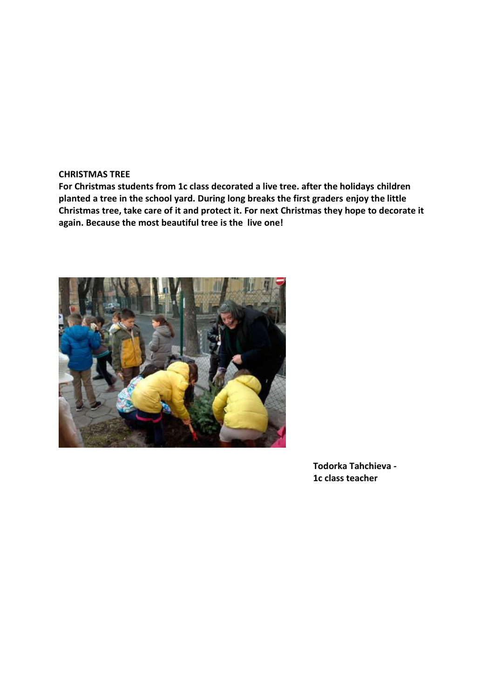## **CHRISTMAS TREE**

**For Christmas students from 1c class decorated a live tree. after the holidays children planted a tree in the school yard. During long breaks the first graders enjoy the little Christmas tree, take care of it and protect it. For next Christmas they hope to decorate it again. Because the most beautiful tree is the live one!** 



 **Todorka Tahchieva - 1c class teacher**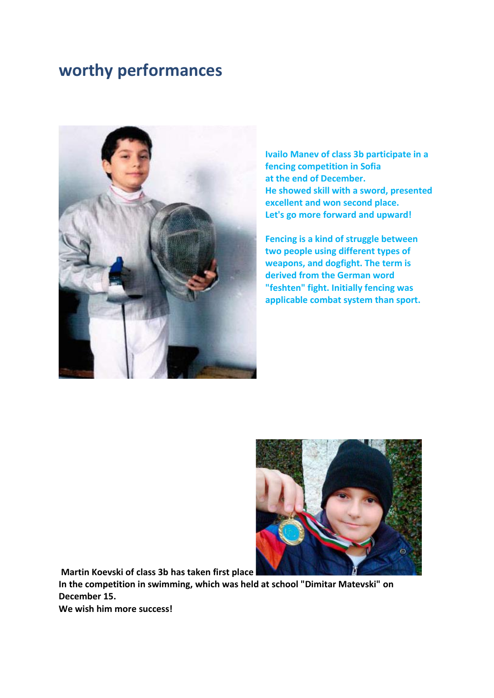## **worthy performances**



**Ivailo Manev of class 3b participate in a fencing competition in Sofia at the end of December. He showed skill with a sword, presented excellent and won second place. Let's go more forward and upward!**

**Fencing is a kind of struggle between two people using different types of weapons, and dogfight. The term is derived from the German word "feshten" fight. Initially fencing was applicable combat system than sport.** 



**Martin Koevski of class 3b has taken first place** 

**In the competition in swimming, which was held at school "Dimitar Matevski" on December 15.** 

**We wish him more success!**